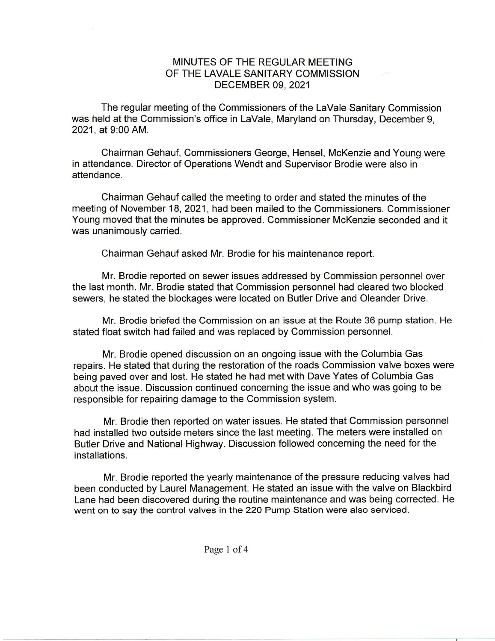## MINUTES OF THE REGULAR MEETING OF THE LAVALE SANITARY COMMISSION DECEMBER 09, 2021

The regular meeting of the Commissioners of the LaVale Sanitary Commission was held at the Commission's office in LaVale, Maryland on Thursday, December 9, 2021, at 9:00AM.

Chairman Gehauf, Commissioners George, Hensel, McKenzie and Young were in attendance. Director of Operations Wendt and Supervisor Brodie were also in attendance.

Chairman Gehauf called the meeting to order and stated the minutes of the meeting of November 18, 2021, had been mailed to the Commissioners. Commissioner Young moved that the minutes be approved. Commissioner McKenzie seconded and it was unanimously carried.

Chairman Gehauf asked Mr. Brodie for his maintenance report.

Mr. Brodie reported on sewer issues addressed by Commission personnel over the last month. Mr. Brodie stated that Commission personnel had cleared two blocked sewers, he stated the blockages were located on Butler Drive and Oleander Drive.

Mr. Brodie briefed the Commission on an issue at the Route 36 pump station. He stated float switch had failed and was replaced by Commission personnel.

Mr. Brodie opened discussion on an ongoing issue with the Columbia Gas repairs. He stated that during the restoration of the roads Commission valve boxes were being paved over and lost. He stated he had met with Dave Yates of Columbia Gas about the issue. Discussion continued concerning the issue and who was going to be responsible for repairing damage to the Commission system.

Mr. Brodie then reported on water issues. He stated that Commission personnel had installed two outside meters since the last meeting. The meters were installed on Butler Drive and National Highway. Discussion followed concerning the need for the installations.

Mr. Brodie reported the yearly maintenance of the pressure reducing valves had been conducted by Laurel Management. He stated an issue with the valve on Blackbird Lane had been discovered during the routine maintenance and was being corrected. He went on to say the control valves in the 220 Pump Station were also serviced.

Page I of 4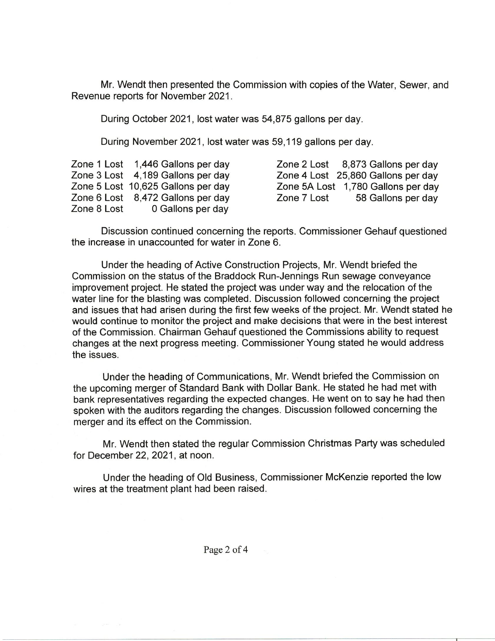Mr. Wendt then presented the Commission with copies of the Water, Sewer, and Revenue reports for November 2021.

During October 2021, lost water was 54,875 gallons per day.

During November 2021, lost water was 59,119 gallons per day.

|             | Zone 1 Lost 1,446 Gallons per day  | Zone 2 Lost 8,873 Gallons per day  |
|-------------|------------------------------------|------------------------------------|
|             | Zone 3 Lost 4,189 Gallons per day  | Zone 4 Lost 25,860 Gallons per day |
|             | Zone 5 Lost 10,625 Gallons per day | Zone 5A Lost 1,780 Gallons per day |
|             | Zone 6 Lost 8,472 Gallons per day  | 58 Gallons per day<br>Zone 7 Lost  |
| Zone 8 Lost | 0 Gallons per day                  |                                    |

Discussion continued concerning the reports. Commissioner Gehauf questioned the increase in unaccounted for water in Zone 6.

Under the heading of Active Construction Projects, Mr. Wendt briefed the Commission on the status of the Braddock Run-Jennings Run sewage conveyance improvement project. He stated the project was under way and the relocation of the water line for the blasting was completed. Discussion followed concerning the project and issues that had arisen during the first few weeks of the project. Mr. Wendt stated he would continue to monitor the project and make decisions that were in the best interest of the Commission. Chairman Gehauf questioned the Commissions ability to request changes at the next progress meeting. Commissioner Young stated he would address the issues.

Under the heading of Communications, Mr. Wendt briefed the Commission on the upcoming merger of Standard Bank with Dollar Bank. He stated he had met with bank representatives regarding the expected changes. He went on to say he had then spoken with the auditors regarding the changes. Discussion followed concerning the merger and its effect on the Commission.

Mr. Wendt then stated the regular Commission Christmas Party was scheduled for December 22, 2021, at noon.

Under the heading of Old Business, Commissioner McKenzie reported the low wires at the treatment plant had been raised.

Page 2 of 4